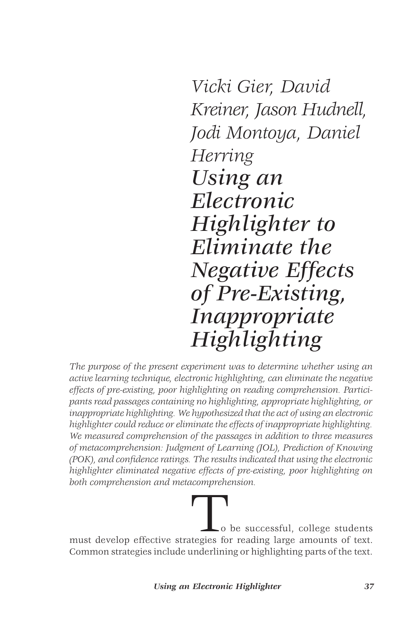*Vicki Gier, David Kreiner, Jason Hudnell, Jodi Montoya, Daniel Herring Using an Electronic Highlighter to Eliminate the Negative Effects of Pre-Existing, Inappropriate Highlighting*

*The purpose of the present experiment was to determine whether using an active learning technique, electronic highlighting, can eliminate the negative effects of pre-existing, poor highlighting on reading comprehension. Participants read passages containing no highlighting, appropriate highlighting, or inappropriate highlighting. We hypothesized that the act of using an electronic highlighter could reduce or eliminate the effects of inappropriate highlighting. We measured comprehension of the passages in addition to three measures of metacomprehension: Judgment of Learning (JOL), Prediction of Knowing (POK), and confidence ratings. The results indicated that using the electronic highlighter eliminated negative effects of pre-existing, poor highlighting on both comprehension and metacomprehension.*

o be successful, college students<br>of text. must develop effective strategies for reading large amounts of text. Common strategies include underlining or highlighting parts of the text.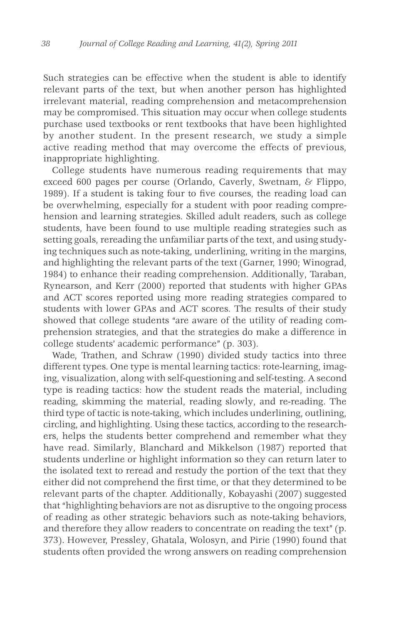Such strategies can be effective when the student is able to identify relevant parts of the text, but when another person has highlighted irrelevant material, reading comprehension and metacomprehension may be compromised. This situation may occur when college students purchase used textbooks or rent textbooks that have been highlighted by another student. In the present research, we study a simple active reading method that may overcome the effects of previous, inappropriate highlighting.

College students have numerous reading requirements that may exceed 600 pages per course (Orlando, Caverly, Swetnam, & Flippo, 1989). If a student is taking four to five courses, the reading load can be overwhelming, especially for a student with poor reading comprehension and learning strategies. Skilled adult readers, such as college students, have been found to use multiple reading strategies such as setting goals, rereading the unfamiliar parts of the text, and using studying techniques such as note-taking, underlining, writing in the margins, and highlighting the relevant parts of the text (Garner, 1990; Winograd, 1984) to enhance their reading comprehension. Additionally, Taraban, Rynearson, and Kerr (2000) reported that students with higher GPAs and ACT scores reported using more reading strategies compared to students with lower GPAs and ACT scores. The results of their study showed that college students "are aware of the utility of reading comprehension strategies, and that the strategies do make a difference in college students' academic performance" (p. 303).

Wade, Trathen, and Schraw (1990) divided study tactics into three different types. One type is mental learning tactics: rote-learning, imaging, visualization, along with self-questioning and self-testing. A second type is reading tactics: how the student reads the material, including reading, skimming the material, reading slowly, and re-reading. The third type of tactic is note-taking, which includes underlining, outlining, circling, and highlighting. Using these tactics, according to the researchers, helps the students better comprehend and remember what they have read. Similarly, Blanchard and Mikkelson (1987) reported that students underline or highlight information so they can return later to the isolated text to reread and restudy the portion of the text that they either did not comprehend the first time, or that they determined to be relevant parts of the chapter. Additionally, Kobayashi (2007) suggested that "highlighting behaviors are not as disruptive to the ongoing process of reading as other strategic behaviors such as note-taking behaviors, and therefore they allow readers to concentrate on reading the text" (p. 373). However, Pressley, Ghatala, Wolosyn, and Pirie (1990) found that students often provided the wrong answers on reading comprehension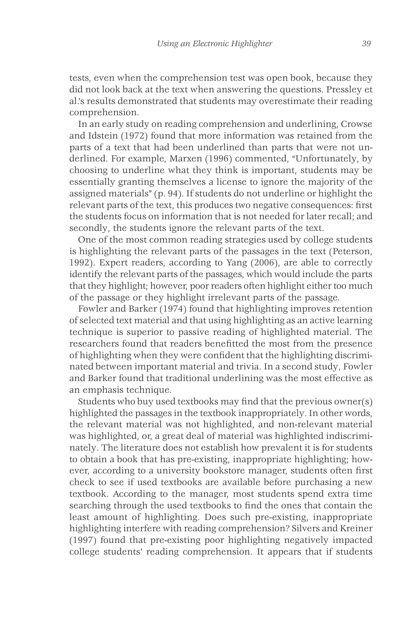tests, even when the comprehension test was open book, because they did not look back at the text when answering the questions. Pressley et al.'s results demonstrated that students may overestimate their reading comprehension.

In an early study on reading comprehension and underlining, Crowse and Idstein (1972) found that more information was retained from the parts of a text that had been underlined than parts that were not underlined. For example, Marxen (1996) commented, "Unfortunately, by choosing to underline what they think is important, students may be essentially granting themselves a license to ignore the majority of the assigned materials" (p. 94). If students do not underline or highlight the relevant parts of the text, this produces two negative consequences: first the students focus on information that is not needed for later recall; and secondly, the students ignore the relevant parts of the text.

One of the most common reading strategies used by college students is highlighting the relevant parts of the passages in the text (Peterson, 1992). Expert readers, according to Yang (2006), are able to correctly identify the relevant parts of the passages, which would include the parts that they highlight; however, poor readers often highlight either too much of the passage or they highlight irrelevant parts of the passage.

Fowler and Barker (1974) found that highlighting improves retention of selected text material and that using highlighting as an active learning technique is superior to passive reading of highlighted material. The researchers found that readers benefitted the most from the presence of highlighting when they were confident that the highlighting discriminated between important material and trivia. In a second study, Fowler and Barker found that traditional underlining was the most effective as an emphasis technique.

Students who buy used textbooks may find that the previous owner(s) highlighted the passages in the textbook inappropriately. In other words, the relevant material was not highlighted, and non-relevant material was highlighted, or, a great deal of material was highlighted indiscriminately. The literature does not establish how prevalent it is for students to obtain a book that has pre-existing, inappropriate highlighting; however, according to a university bookstore manager, students often first check to see if used textbooks are available before purchasing a new textbook. According to the manager, most students spend extra time searching through the used textbooks to find the ones that contain the least amount of highlighting. Does such pre-existing, inappropriate highlighting interfere with reading comprehension? Silvers and Kreiner (1997) found that pre-existing poor highlighting negatively impacted college students' reading comprehension. It appears that if students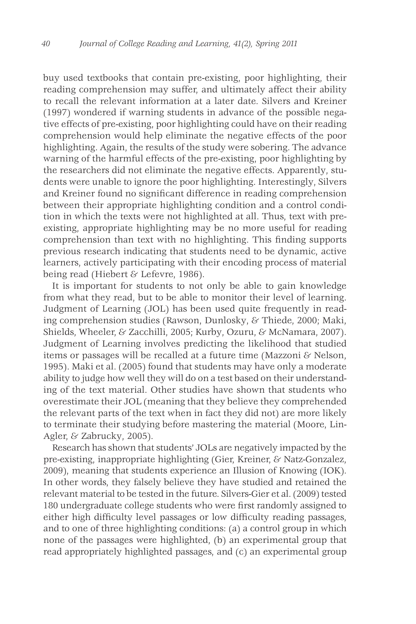buy used textbooks that contain pre-existing, poor highlighting, their reading comprehension may suffer, and ultimately affect their ability to recall the relevant information at a later date. Silvers and Kreiner (1997) wondered if warning students in advance of the possible negative effects of pre-existing, poor highlighting could have on their reading comprehension would help eliminate the negative effects of the poor highlighting. Again, the results of the study were sobering. The advance warning of the harmful effects of the pre-existing, poor highlighting by the researchers did not eliminate the negative effects. Apparently, students were unable to ignore the poor highlighting. Interestingly, Silvers and Kreiner found no significant difference in reading comprehension between their appropriate highlighting condition and a control condition in which the texts were not highlighted at all. Thus, text with preexisting, appropriate highlighting may be no more useful for reading comprehension than text with no highlighting. This finding supports previous research indicating that students need to be dynamic, active learners, actively participating with their encoding process of material being read (Hiebert & Lefevre, 1986).

It is important for students to not only be able to gain knowledge from what they read, but to be able to monitor their level of learning. Judgment of Learning (JOL) has been used quite frequently in reading comprehension studies (Rawson, Dunlosky, & Thiede, 2000; Maki, Shields, Wheeler, & Zacchilli, 2005; Kurby, Ozuru, & McNamara, 2007). Judgment of Learning involves predicting the likelihood that studied items or passages will be recalled at a future time (Mazzoni & Nelson, 1995). Maki et al. (2005) found that students may have only a moderate ability to judge how well they will do on a test based on their understanding of the text material. Other studies have shown that students who overestimate their JOL (meaning that they believe they comprehended the relevant parts of the text when in fact they did not) are more likely to terminate their studying before mastering the material (Moore, Lin-Agler, & Zabrucky, 2005).

Research has shown that students' JOLs are negatively impacted by the pre-existing, inappropriate highlighting (Gier, Kreiner, & Natz-Gonzalez, 2009), meaning that students experience an Illusion of Knowing (IOK). In other words, they falsely believe they have studied and retained the relevant material to be tested in the future. Silvers-Gier et al. (2009) tested 180 undergraduate college students who were first randomly assigned to either high difficulty level passages or low difficulty reading passages, and to one of three highlighting conditions: (a) a control group in which none of the passages were highlighted, (b) an experimental group that read appropriately highlighted passages, and (c) an experimental group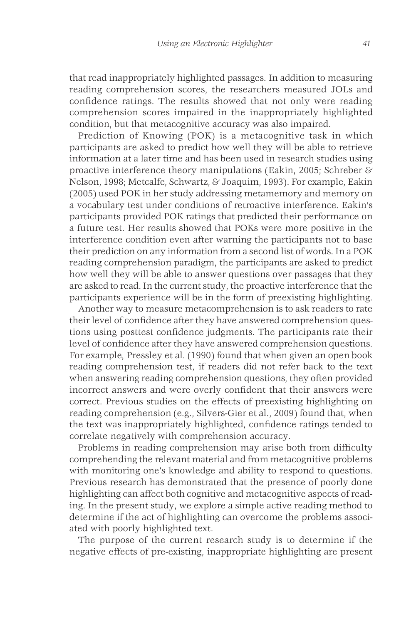that read inappropriately highlighted passages. In addition to measuring reading comprehension scores, the researchers measured JOLs and confidence ratings. The results showed that not only were reading comprehension scores impaired in the inappropriately highlighted condition, but that metacognitive accuracy was also impaired.

Prediction of Knowing (POK) is a metacognitive task in which participants are asked to predict how well they will be able to retrieve information at a later time and has been used in research studies using proactive interference theory manipulations (Eakin, 2005; Schreber & Nelson, 1998; Metcalfe, Schwartz, & Joaquim, 1993). For example, Eakin (2005) used POK in her study addressing metamemory and memory on a vocabulary test under conditions of retroactive interference. Eakin's participants provided POK ratings that predicted their performance on a future test. Her results showed that POKs were more positive in the interference condition even after warning the participants not to base their prediction on any information from a second list of words. In a POK reading comprehension paradigm, the participants are asked to predict how well they will be able to answer questions over passages that they are asked to read. In the current study, the proactive interference that the participants experience will be in the form of preexisting highlighting.

Another way to measure metacomprehension is to ask readers to rate their level of confidence after they have answered comprehension questions using posttest confidence judgments. The participants rate their level of confidence after they have answered comprehension questions. For example, Pressley et al. (1990) found that when given an open book reading comprehension test, if readers did not refer back to the text when answering reading comprehension questions, they often provided incorrect answers and were overly confident that their answers were correct. Previous studies on the effects of preexisting highlighting on reading comprehension (e.g., Silvers-Gier et al., 2009) found that, when the text was inappropriately highlighted, confidence ratings tended to correlate negatively with comprehension accuracy.

Problems in reading comprehension may arise both from difficulty comprehending the relevant material and from metacognitive problems with monitoring one's knowledge and ability to respond to questions. Previous research has demonstrated that the presence of poorly done highlighting can affect both cognitive and metacognitive aspects of reading. In the present study, we explore a simple active reading method to determine if the act of highlighting can overcome the problems associated with poorly highlighted text.

The purpose of the current research study is to determine if the negative effects of pre-existing, inappropriate highlighting are present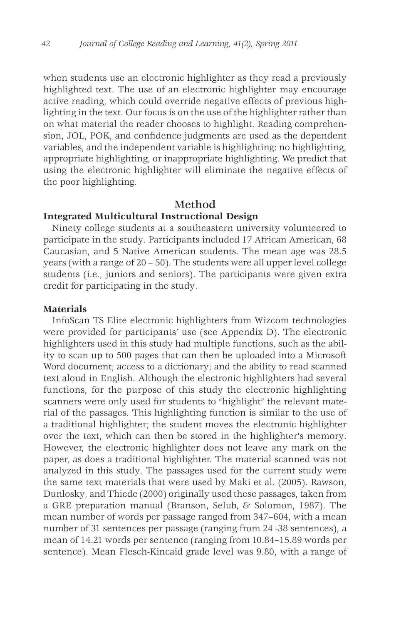when students use an electronic highlighter as they read a previously highlighted text. The use of an electronic highlighter may encourage active reading, which could override negative effects of previous highlighting in the text. Our focus is on the use of the highlighter rather than on what material the reader chooses to highlight. Reading comprehension, JOL, POK, and confidence judgments are used as the dependent variables, and the independent variable is highlighting: no highlighting, appropriate highlighting, or inappropriate highlighting. We predict that using the electronic highlighter will eliminate the negative effects of the poor highlighting.

### Method

## **Integrated Multicultural Instructional Design**

Ninety college students at a southeastern university volunteered to participate in the study. Participants included 17 African American, 68 Caucasian, and 5 Native American students. The mean age was 28.5 years (with a range of 20 – 50). The students were all upper level college students (i.e., juniors and seniors). The participants were given extra credit for participating in the study.

#### **Materials**

InfoScan TS Elite electronic highlighters from Wizcom technologies were provided for participants' use (see Appendix D). The electronic highlighters used in this study had multiple functions, such as the ability to scan up to 500 pages that can then be uploaded into a Microsoft Word document; access to a dictionary; and the ability to read scanned text aloud in English. Although the electronic highlighters had several functions, for the purpose of this study the electronic highlighting scanners were only used for students to "highlight" the relevant material of the passages. This highlighting function is similar to the use of a traditional highlighter; the student moves the electronic highlighter over the text, which can then be stored in the highlighter's memory. However, the electronic highlighter does not leave any mark on the paper, as does a traditional highlighter. The material scanned was not analyzed in this study. The passages used for the current study were the same text materials that were used by Maki et al. (2005). Rawson, Dunlosky, and Thiede (2000) originally used these passages, taken from a GRE preparation manual (Branson, Selub, & Solomon, 1987). The mean number of words per passage ranged from 347–604, with a mean number of 31 sentences per passage (ranging from 24 -38 sentences), a mean of 14.21 words per sentence (ranging from 10.84–15.89 words per sentence). Mean Flesch-Kincaid grade level was 9.80, with a range of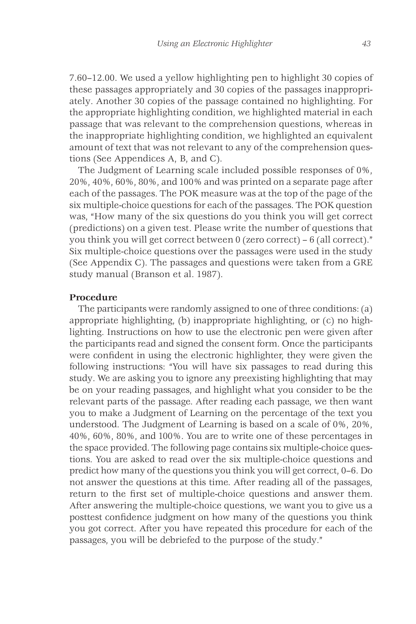7.60–12.00. We used a yellow highlighting pen to highlight 30 copies of these passages appropriately and 30 copies of the passages inappropriately. Another 30 copies of the passage contained no highlighting. For the appropriate highlighting condition, we highlighted material in each passage that was relevant to the comprehension questions, whereas in the inappropriate highlighting condition, we highlighted an equivalent amount of text that was not relevant to any of the comprehension questions (See Appendices A, B, and C).

The Judgment of Learning scale included possible responses of 0%, 20%, 40%, 60%, 80%, and 100% and was printed on a separate page after each of the passages. The POK measure was at the top of the page of the six multiple-choice questions for each of the passages. The POK question was, "How many of the six questions do you think you will get correct (predictions) on a given test. Please write the number of questions that you think you will get correct between 0 (zero correct) – 6 (all correct)." Six multiple-choice questions over the passages were used in the study (See Appendix C). The passages and questions were taken from a GRE study manual (Branson et al. 1987).

### **Procedure**

The participants were randomly assigned to one of three conditions: (a) appropriate highlighting, (b) inappropriate highlighting, or (c) no highlighting. Instructions on how to use the electronic pen were given after the participants read and signed the consent form. Once the participants were confident in using the electronic highlighter, they were given the following instructions: "You will have six passages to read during this study. We are asking you to ignore any preexisting highlighting that may be on your reading passages, and highlight what you consider to be the relevant parts of the passage. After reading each passage, we then want you to make a Judgment of Learning on the percentage of the text you understood. The Judgment of Learning is based on a scale of 0%, 20%, 40%, 60%, 80%, and 100%. You are to write one of these percentages in the space provided. The following page contains six multiple-choice questions. You are asked to read over the six multiple-choice questions and predict how many of the questions you think you will get correct, 0–6. Do not answer the questions at this time. After reading all of the passages, return to the first set of multiple-choice questions and answer them. After answering the multiple-choice questions, we want you to give us a posttest confidence judgment on how many of the questions you think you got correct. After you have repeated this procedure for each of the passages, you will be debriefed to the purpose of the study."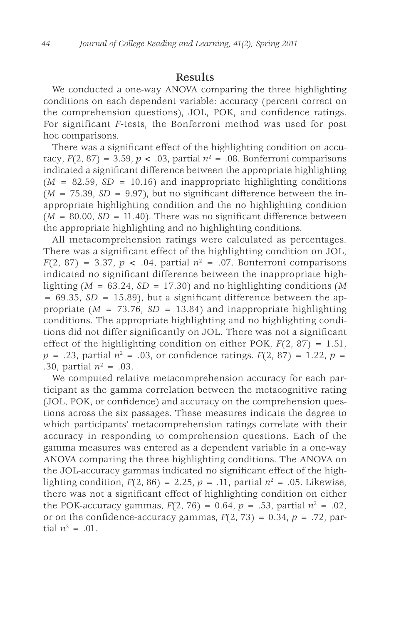## Results

We conducted a one-way ANOVA comparing the three highlighting conditions on each dependent variable: accuracy (percent correct on the comprehension questions), JOL, POK, and confidence ratings. For significant *F*-tests, the Bonferroni method was used for post hoc comparisons.

There was a significant effect of the highlighting condition on accuracy,  $F(2, 87) = 3.59$ ,  $p < .03$ , partial  $n^2 = .08$ . Bonferroni comparisons indicated a significant difference between the appropriate highlighting  $(M = 82.59, SD = 10.16)$  and inappropriate highlighting conditions  $(M = 75.39, SD = 9.97)$ , but no significant difference between the inappropriate highlighting condition and the no highlighting condition  $(M = 80.00, SD = 11.40)$ . There was no significant difference between the appropriate highlighting and no highlighting conditions.

All metacomprehension ratings were calculated as percentages. There was a significant effect of the highlighting condition on JOL, *F*(2, 87) = 3.37, *p* < .04, partial  $n^2$  = .07. Bonferroni comparisons indicated no significant difference between the inappropriate highlighting ( $M = 63.24$ ,  $SD = 17.30$ ) and no highlighting conditions (M)  $= 69.35$ , *SD* = 15.89), but a significant difference between the appropriate  $(M = 73.76, SD = 13.84)$  and inappropriate highlighting conditions. The appropriate highlighting and no highlighting conditions did not differ significantly on JOL. There was not a significant effect of the highlighting condition on either POK,  $F(2, 87) = 1.51$ ,  $p = .23$ , partial  $n^2 = .03$ , or confidence ratings.  $F(2, 87) = 1.22$ ,  $p =$ .30, partial  $n^2 = .03$ .

We computed relative metacomprehension accuracy for each participant as the gamma correlation between the metacognitive rating (JOL, POK, or confidence) and accuracy on the comprehension questions across the six passages. These measures indicate the degree to which participants' metacomprehension ratings correlate with their accuracy in responding to comprehension questions. Each of the gamma measures was entered as a dependent variable in a one-way ANOVA comparing the three highlighting conditions. The ANOVA on the JOL-accuracy gammas indicated no significant effect of the highlighting condition,  $F(2, 86) = 2.25$ ,  $p = .11$ , partial  $n^2 = .05$ . Likewise, there was not a significant effect of highlighting condition on either the POK-accuracy gammas,  $F(2, 76) = 0.64$ ,  $p = .53$ , partial  $n^2 = .02$ , or on the confidence-accuracy gammas,  $F(2, 73) = 0.34$ ,  $p = .72$ , partial  $n^2 = .01$ .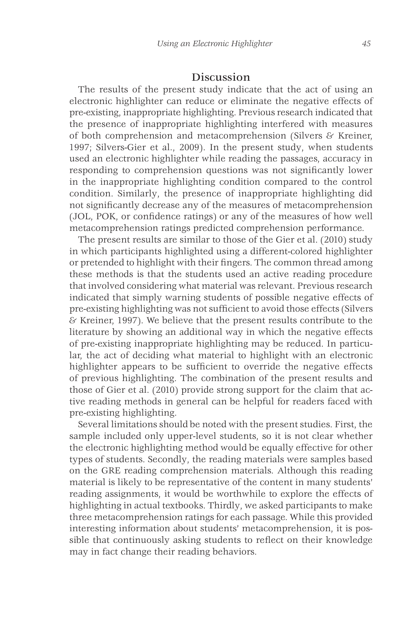# Discussion

The results of the present study indicate that the act of using an electronic highlighter can reduce or eliminate the negative effects of pre-existing, inappropriate highlighting. Previous research indicated that the presence of inappropriate highlighting interfered with measures of both comprehension and metacomprehension (Silvers  $&$  Kreiner, 1997; Silvers-Gier et al., 2009). In the present study, when students used an electronic highlighter while reading the passages, accuracy in responding to comprehension questions was not significantly lower in the inappropriate highlighting condition compared to the control condition. Similarly, the presence of inappropriate highlighting did not significantly decrease any of the measures of metacomprehension (JOL, POK, or confidence ratings) or any of the measures of how well metacomprehension ratings predicted comprehension performance.

The present results are similar to those of the Gier et al. (2010) study in which participants highlighted using a different-colored highlighter or pretended to highlight with their fingers. The common thread among these methods is that the students used an active reading procedure that involved considering what material was relevant. Previous research indicated that simply warning students of possible negative effects of pre-existing highlighting was not sufficient to avoid those effects (Silvers & Kreiner, 1997). We believe that the present results contribute to the literature by showing an additional way in which the negative effects of pre-existing inappropriate highlighting may be reduced. In particular, the act of deciding what material to highlight with an electronic highlighter appears to be sufficient to override the negative effects of previous highlighting. The combination of the present results and those of Gier et al. (2010) provide strong support for the claim that active reading methods in general can be helpful for readers faced with pre-existing highlighting.

Several limitations should be noted with the present studies. First, the sample included only upper-level students, so it is not clear whether the electronic highlighting method would be equally effective for other types of students. Secondly, the reading materials were samples based on the GRE reading comprehension materials. Although this reading material is likely to be representative of the content in many students' reading assignments, it would be worthwhile to explore the effects of highlighting in actual textbooks. Thirdly, we asked participants to make three metacomprehension ratings for each passage. While this provided interesting information about students' metacomprehension, it is possible that continuously asking students to reflect on their knowledge may in fact change their reading behaviors.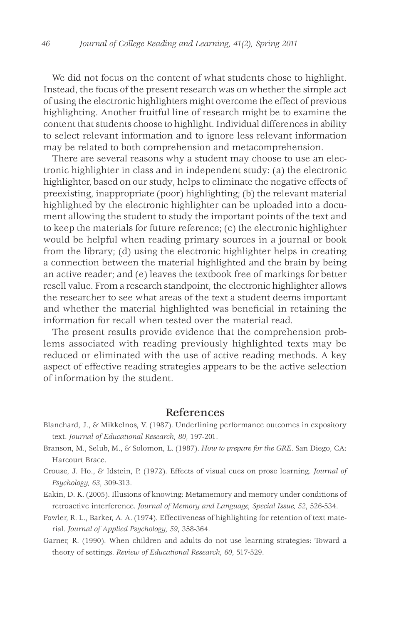We did not focus on the content of what students chose to highlight. Instead, the focus of the present research was on whether the simple act of using the electronic highlighters might overcome the effect of previous highlighting. Another fruitful line of research might be to examine the content that students choose to highlight. Individual differences in ability to select relevant information and to ignore less relevant information may be related to both comprehension and metacomprehension.

There are several reasons why a student may choose to use an electronic highlighter in class and in independent study: (a) the electronic highlighter, based on our study, helps to eliminate the negative effects of preexisting, inappropriate (poor) highlighting; (b) the relevant material highlighted by the electronic highlighter can be uploaded into a document allowing the student to study the important points of the text and to keep the materials for future reference; (c) the electronic highlighter would be helpful when reading primary sources in a journal or book from the library; (d) using the electronic highlighter helps in creating a connection between the material highlighted and the brain by being an active reader; and (e) leaves the textbook free of markings for better resell value. From a research standpoint, the electronic highlighter allows the researcher to see what areas of the text a student deems important and whether the material highlighted was beneficial in retaining the information for recall when tested over the material read.

The present results provide evidence that the comprehension problems associated with reading previously highlighted texts may be reduced or eliminated with the use of active reading methods. A key aspect of effective reading strategies appears to be the active selection of information by the student.

### References

- Blanchard, J., & Mikkelnos, V. (1987). Underlining performance outcomes in expository text. *Journal of Educational Research, 80*, 197-201.
- Branson, M., Selub, M., & Solomon, L. (1987). *How to prepare for the GRE*. San Diego, CA: Harcourt Brace.
- Crouse, J. Ho., & Idstein, P. (1972). Effects of visual cues on prose learning. *Journal of Psychology, 63*, 309-313.
- Eakin, D. K. (2005). Illusions of knowing: Metamemory and memory under conditions of retroactive interference. *Journal of Memory and Language, Special Issue, 52*, 526-534.
- Fowler, R. L., Barker, A. A. (1974). Effectiveness of highlighting for retention of text material. *Journal of Applied Psychology, 59*, 358-364.
- Garner, R. (1990). When children and adults do not use learning strategies: Toward a theory of settings. *Review of Educational Research, 60*, 517-529.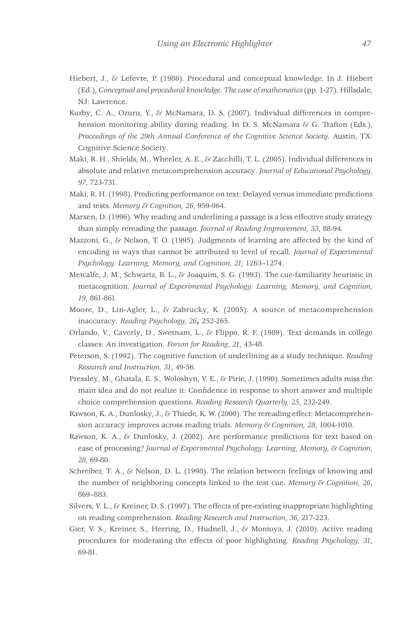- Hiebert, J., & Lefevre, P. (1986). Procedural and conceptual knowledge. In J. Hiebert (Ed.), *Conceptual and procedural knowledge: The case of mathematics* (pp. 1-27). Hillsdale, NJ: Lawrence.
- Kurby, C. A., Ozuru, Y., & McNamara, D. S. (2007). Individual differences in comprehension monitoring ability during reading. In D. S. McNamara & G. Trafton (Eds.), *Proceedings of the 29th Annual Conference of the Cognitive Science Society*. Austin, TX: Cognitive Science Society.
- Maki, R. H., Shields, M., Wheeler, A. E., & Zacchilli, T. L. (2005). Individual differences in absolute and relative metacomprehension accuracy. *Journal of Educational Psychology, 97*, 723-731.
- Maki, R. H. (1998). Predicting performance on text: Delayed versus immediate predictions and tests. *Memory & Cognition, 26*, 959-964.
- Marxen, D. (1996). Why reading and underlining a passage is a less effective study strategy than simply rereading the passage. *Journal of Reading Improvement, 33*, 88-94.
- Mazzoni, G., & Nelson, T. O. (1995). Judgments of learning are affected by the kind of encoding in ways that cannot be attributed to level of recall. *Journal of Experimental*  Psychology: Learning, Memory, and Cognition, 21, 1263-1274.
- Metcalfe, J. M., Schwartz, B. L., & Joaquim, S. G. (1993). The cue-familiarity heuristic in metacognition. *Journal of Experimental Psychology: Learning, Memory, and Cognition, 19*, 861-861.
- Moore, D., Lin-Agler, L., & Zabrucky, K. (2005). A source of metacomprehension inaccuracy. *Reading Psychology, 26***,** 252-265.
- Orlando, V., Caverly, D., Swetnam, L., & Flippo, R. F. (1989). Text demands in college classes: An investigation. *Forum for Reading*, *21*, 43-48.
- Peterson, S. (1992). The cognitive function of underlining as a study technique. *Reading Research and Instruction, 31*, 49-56.
- Pressley, M., Ghatala, E. S., Woloshyn, V. E., & Pirie, J. (1990). Sometimes adults miss the main idea and do not realize it: Confidence in response to short answer and multiple choice comprehension questions. *Reading Research Quarterly, 25*, 232-249.
- Rawson, K. A., Dunlosky, J., & Thiede, K. W. (2000). The rereading effect: Metacomprehension accuracy improves across reading trials. *Memory & Cognition, 28*, 1004-1010.
- Rawson, K. A., & Dunlosky, J. (2002). Are performance predictions for text based on ease of processing? *Journal of Experimental Psychology: Learning, Memory, & Cognition*, *28*, 69-80.
- Schreiber, T. A., & Nelson, D. L. (1998). The relation between feelings of knowing and the number of neighboring concepts linked to the test cue. *Memory & Cognition, 26*, 869–883.
- Silvers, V. L., & Kreiner, D. S. (1997). The effects of pre-existing inappropriate highlighting on reading comprehension. *Reading Research and Instruction*, *36,* 217-223.
- Gier, V. S., Kreiner, S., Herring, D., Hudnell, J., & Montoya, J. (2010). Active reading procedures for moderating the effects of poor highlighting. *Reading Psychology, 31*, 69-81.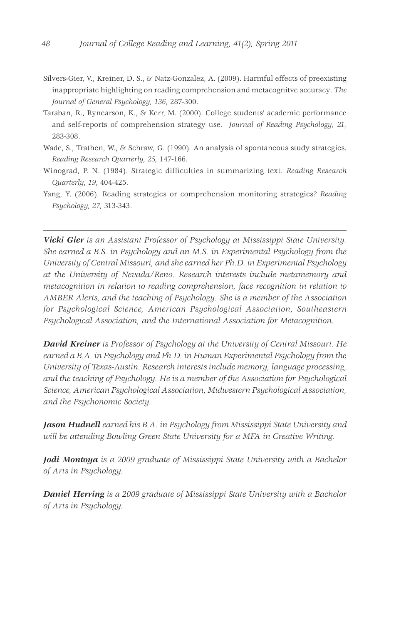- Silvers-Gier, V., Kreiner, D. S., & Natz-Gonzalez, A. (2009). Harmful effects of preexisting inappropriate highlighting on reading comprehension and metacognitve accuracy. *The Journal of General Psychology, 136*, 287-300.
- Taraban, R., Rynearson, K., & Kerr, M. (2000). College students' academic performance and self-reports of comprehension strategy use. *Journal of Reading Psychology, 21,* 283-308.
- Wade, S., Trathen, W., & Schraw, G. (1990). An analysis of spontaneous study strategies. *Reading Research Quarterly, 25,* 147-166.
- Winograd, P. N. (1984). Strategic difficulties in summarizing text. *Reading Research Quarterly*, *19*, 404-425.
- Yang, Y. (2006). Reading strategies or comprehension monitoring strategies? *Reading Psychology, 27,* 313-343.

*Vicki Gier is an Assistant Professor of Psychology at Mississippi State University. She earned a B.S. in Psychology and an M.S. in Experimental Psychology from the University of Central Missouri, and she earned her Ph.D. in Experimental Psychology at the University of Nevada/Reno. Research interests include metamemory and metacognition in relation to reading comprehension, face recognition in relation to AMBER Alerts, and the teaching of Psychology. She is a member of the Association for Psychological Science, American Psychological Association, Southeastern Psychological Association, and the International Association for Metacognition.*

*David Kreiner is Professor of Psychology at the University of Central Missouri. He earned a B.A. in Psychology and Ph.D. in Human Experimental Psychology from the University of Texas-Austin. Research interests include memory, language processing, and the teaching of Psychology. He is a member of the Association for Psychological Science, American Psychological Association, Midwestern Psychological Association, and the Psychonomic Society.*

*Jason Hudnell earned his B.A. in Psychology from Mississippi State University and will be attending Bowling Green State University for a MFA in Creative Writing.*

*Jodi Montoya is a 2009 graduate of Mississippi State University with a Bachelor of Arts in Psychology.*

*Daniel Herring is a 2009 graduate of Mississippi State University with a Bachelor of Arts in Psychology.*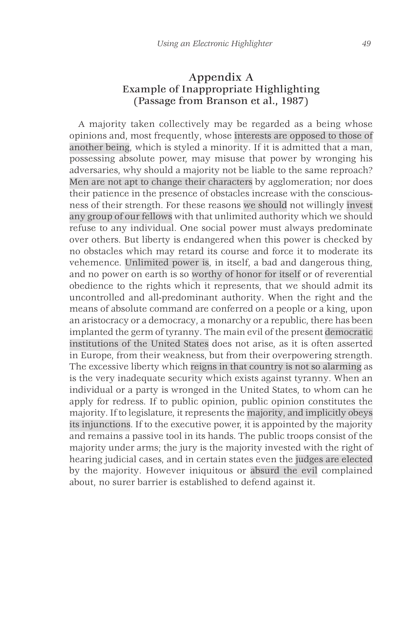# Appendix A Example of Inappropriate Highlighting (Passage from Branson et al., 1987)

A majority taken collectively may be regarded as a being whose opinions and, most frequently, whose interests are opposed to those of another being, which is styled a minority. If it is admitted that a man, possessing absolute power, may misuse that power by wronging his adversaries, why should a majority not be liable to the same reproach? Men are not apt to change their characters by agglomeration; nor does their patience in the presence of obstacles increase with the consciousness of their strength. For these reasons we should not willingly invest any group of our fellows with that unlimited authority which we should refuse to any individual. One social power must always predominate over others. But liberty is endangered when this power is checked by no obstacles which may retard its course and force it to moderate its vehemence. Unlimited power is, in itself, a bad and dangerous thing, and no power on earth is so worthy of honor for itself or of reverential obedience to the rights which it represents, that we should admit its uncontrolled and all-predominant authority. When the right and the means of absolute command are conferred on a people or a king, upon an aristocracy or a democracy, a monarchy or a republic, there has been implanted the germ of tyranny. The main evil of the present democratic institutions of the United States does not arise, as it is often asserted in Europe, from their weakness, but from their overpowering strength. The excessive liberty which reigns in that country is not so alarming as is the very inadequate security which exists against tyranny. When an individual or a party is wronged in the United States, to whom can he apply for redress. If to public opinion, public opinion constitutes the majority. If to legislature, it represents the majority, and implicitly obeys its injunctions. If to the executive power, it is appointed by the majority and remains a passive tool in its hands. The public troops consist of the majority under arms; the jury is the majority invested with the right of hearing judicial cases, and in certain states even the judges are elected by the majority. However iniquitous or absurd the evil complained about, no surer barrier is established to defend against it.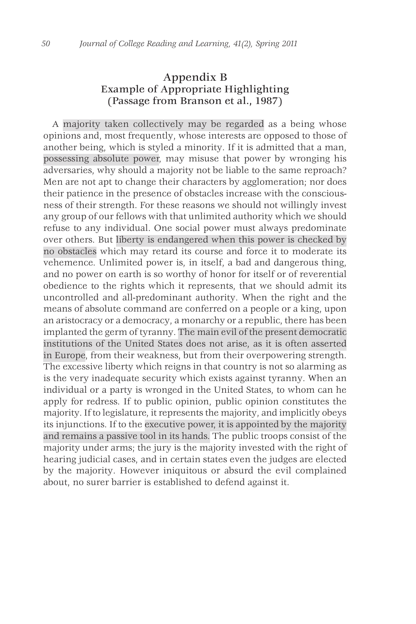## Appendix B Example of Appropriate Highlighting (Passage from Branson et al., 1987)

A majority taken collectively may be regarded as a being whose opinions and, most frequently, whose interests are opposed to those of another being, which is styled a minority. If it is admitted that a man, possessing absolute power, may misuse that power by wronging his adversaries, why should a majority not be liable to the same reproach? Men are not apt to change their characters by agglomeration; nor does their patience in the presence of obstacles increase with the consciousness of their strength. For these reasons we should not willingly invest any group of our fellows with that unlimited authority which we should refuse to any individual. One social power must always predominate over others. But liberty is endangered when this power is checked by no obstacles which may retard its course and force it to moderate its vehemence. Unlimited power is, in itself, a bad and dangerous thing, and no power on earth is so worthy of honor for itself or of reverential obedience to the rights which it represents, that we should admit its uncontrolled and all-predominant authority. When the right and the means of absolute command are conferred on a people or a king, upon an aristocracy or a democracy, a monarchy or a republic, there has been implanted the germ of tyranny. The main evil of the present democratic institutions of the United States does not arise, as it is often asserted in Europe, from their weakness, but from their overpowering strength. The excessive liberty which reigns in that country is not so alarming as is the very inadequate security which exists against tyranny. When an individual or a party is wronged in the United States, to whom can he apply for redress. If to public opinion, public opinion constitutes the majority. If to legislature, it represents the majority, and implicitly obeys its injunctions. If to the executive power, it is appointed by the majority and remains a passive tool in its hands. The public troops consist of the majority under arms; the jury is the majority invested with the right of hearing judicial cases, and in certain states even the judges are elected by the majority. However iniquitous or absurd the evil complained about, no surer barrier is established to defend against it.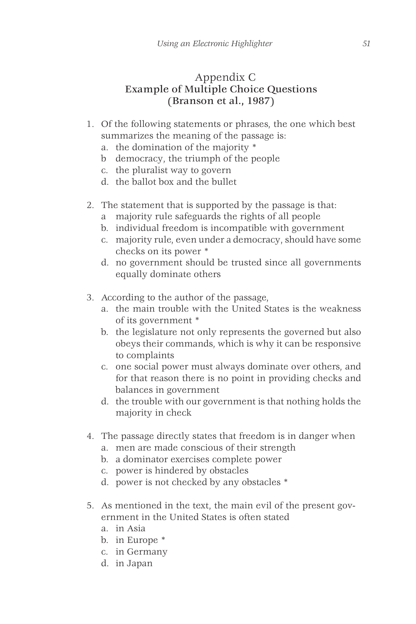# Appendix C Example of Multiple Choice Questions (Branson et al., 1987)

- 1. Of the following statements or phrases, the one which best summarizes the meaning of the passage is:
	- a. the domination of the majority \*
	- b democracy, the triumph of the people
	- c. the pluralist way to govern
	- d. the ballot box and the bullet
- 2. The statement that is supported by the passage is that:
	- a majority rule safeguards the rights of all people
	- b. individual freedom is incompatible with government
	- c. majority rule, even under a democracy, should have some checks on its power \*
	- d. no government should be trusted since all governments equally dominate others
- 3. According to the author of the passage,
	- a. the main trouble with the United States is the weakness of its government \*
	- b. the legislature not only represents the governed but also obeys their commands, which is why it can be responsive to complaints
	- c. one social power must always dominate over others, and for that reason there is no point in providing checks and balances in government
	- d. the trouble with our government is that nothing holds the majority in check
- 4. The passage directly states that freedom is in danger when
	- a. men are made conscious of their strength
	- b. a dominator exercises complete power
	- c. power is hindered by obstacles
	- d. power is not checked by any obstacles \*
- 5. As mentioned in the text, the main evil of the present government in the United States is often stated
	- a. in Asia
	- b. in Europe \*
	- c. in Germany
	- d. in Japan